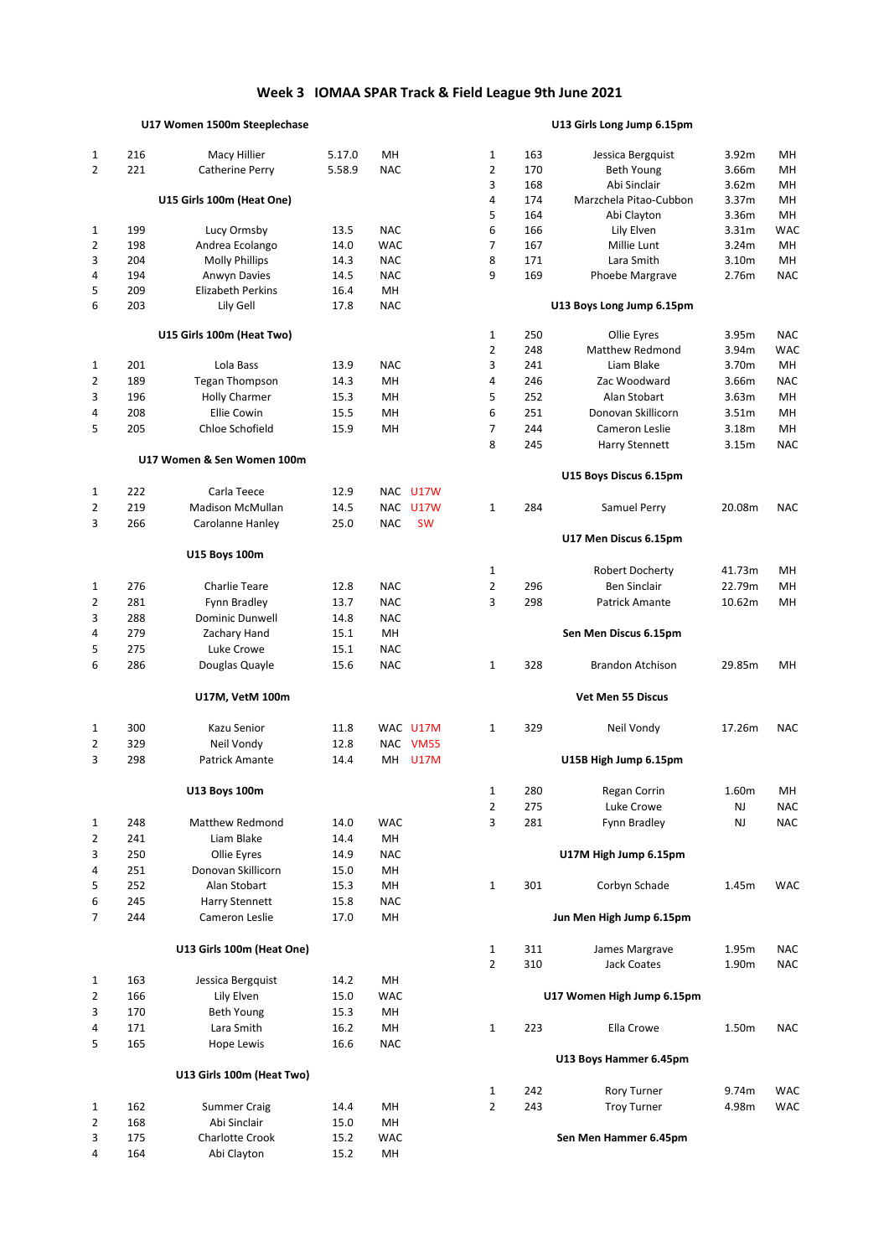## **Week 3 IOMAA SPAR Track & Field League 9th June 2021**

## **U17 Women 1500m Steeplechase U13 Girls Long Jump 6.15pm**

| $\mathbf{1}$   | 216 | Macy Hillier               | 5.17.0 | MН         |                | 1              | 163 | Jessica Bergquist          | 3.92m  | MH         |
|----------------|-----|----------------------------|--------|------------|----------------|----------------|-----|----------------------------|--------|------------|
| $\overline{2}$ | 221 | Catherine Perry            | 5.58.9 | <b>NAC</b> |                | $\overline{2}$ | 170 | <b>Beth Young</b>          | 3.66m  | MH         |
|                |     |                            |        |            |                | 3              | 168 | Abi Sinclair               | 3.62m  | MH         |
|                |     | U15 Girls 100m (Heat One)  |        |            |                | 4              | 174 | Marzchela Pitao-Cubbon     | 3.37m  | MH         |
|                |     |                            |        |            |                | 5              | 164 | Abi Clayton                | 3.36m  | MH         |
| 1              | 199 | Lucy Ormsby                | 13.5   | <b>NAC</b> |                | 6              | 166 | Lily Elven                 | 3.31m  | <b>WAC</b> |
| $\overline{2}$ | 198 | Andrea Ecolango            | 14.0   | <b>WAC</b> |                | 7              | 167 | Millie Lunt                | 3.24m  | MН         |
| 3              | 204 | <b>Molly Phillips</b>      | 14.3   | <b>NAC</b> |                | 8              | 171 | Lara Smith                 | 3.10m  | <b>MH</b>  |
| 4              | 194 | Anwyn Davies               | 14.5   | <b>NAC</b> |                | 9              | 169 | Phoebe Margrave            | 2.76m  | <b>NAC</b> |
| 5              | 209 | Elizabeth Perkins          | 16.4   | MH         |                |                |     |                            |        |            |
| 6              | 203 | Lily Gell                  | 17.8   | <b>NAC</b> |                |                |     | U13 Boys Long Jump 6.15pm  |        |            |
|                |     |                            |        |            |                |                |     |                            |        |            |
|                |     | U15 Girls 100m (Heat Two)  |        |            |                | $\mathbf{1}$   | 250 | Ollie Eyres                | 3.95m  | <b>NAC</b> |
|                |     |                            |        |            |                | $\overline{2}$ | 248 | Matthew Redmond            | 3.94m  | <b>WAC</b> |
| 1              | 201 | Lola Bass                  | 13.9   | <b>NAC</b> |                | 3              | 241 | Liam Blake                 | 3.70m  | MH         |
| $\overline{2}$ | 189 | <b>Tegan Thompson</b>      | 14.3   | MH         |                | 4              | 246 | Zac Woodward               | 3.66m  | <b>NAC</b> |
| 3              | 196 |                            |        |            |                |                | 252 | Alan Stobart               | 3.63m  | MH         |
|                |     | <b>Holly Charmer</b>       | 15.3   | MН         |                | 5              |     |                            |        |            |
| 4              | 208 | <b>Ellie Cowin</b>         | 15.5   | MН         |                | 6              | 251 | Donovan Skillicorn         | 3.51m  | MH         |
| 5              | 205 | Chloe Schofield            | 15.9   | MН         |                | $\overline{7}$ | 244 | Cameron Leslie             | 3.18m  | MH         |
|                |     |                            |        |            |                | 8              | 245 | <b>Harry Stennett</b>      | 3.15m  | <b>NAC</b> |
|                |     | U17 Women & Sen Women 100m |        |            |                |                |     |                            |        |            |
|                |     |                            |        |            |                |                |     | U15 Boys Discus 6.15pm     |        |            |
| 1              | 222 | Carla Teece                | 12.9   |            | NAC U17W       |                |     |                            |        |            |
| 2              | 219 | <b>Madison McMullan</b>    | 14.5   |            | NAC U17W       | $\mathbf{1}$   | 284 | Samuel Perry               | 20.08m | <b>NAC</b> |
| 3              | 266 | Carolanne Hanley           | 25.0   | <b>NAC</b> | <b>SW</b>      |                |     |                            |        |            |
|                |     |                            |        |            |                |                |     | U17 Men Discus 6.15pm      |        |            |
|                |     | U15 Boys 100m              |        |            |                |                |     |                            |        |            |
|                |     |                            |        |            |                | 1              |     | Robert Docherty            | 41.73m | MH         |
| $\mathbf{1}$   | 276 | <b>Charlie Teare</b>       | 12.8   | <b>NAC</b> |                | $\overline{2}$ | 296 | <b>Ben Sinclair</b>        | 22.79m | MH         |
| 2              | 281 | Fynn Bradley               | 13.7   | <b>NAC</b> |                | 3              | 298 | Patrick Amante             | 10.62m | MH         |
| 3              | 288 | Dominic Dunwell            | 14.8   | <b>NAC</b> |                |                |     |                            |        |            |
|                |     |                            |        |            |                |                |     |                            |        |            |
| 4              | 279 | Zachary Hand               | 15.1   | MH         |                |                |     | Sen Men Discus 6.15pm      |        |            |
| 5              | 275 | Luke Crowe                 | 15.1   | <b>NAC</b> |                |                |     |                            |        |            |
| 6              | 286 | Douglas Quayle             | 15.6   | <b>NAC</b> |                | $1\,$          | 328 | <b>Brandon Atchison</b>    | 29.85m | MH         |
|                |     | U17M, VetM 100m            |        |            |                |                |     | <b>Vet Men 55 Discus</b>   |        |            |
|                |     |                            |        |            |                |                |     |                            |        |            |
| 1              | 300 | Kazu Senior                | 11.8   |            | WAC U17M       | 1              | 329 | Neil Vondy                 | 17.26m | <b>NAC</b> |
| $\overline{2}$ | 329 | Neil Vondy                 | 12.8   |            | NAC VM55       |                |     |                            |        |            |
| 3              | 298 | Patrick Amante             | 14.4   |            | <b>MH U17M</b> |                |     | U15B High Jump 6.15pm      |        |            |
|                |     |                            |        |            |                |                |     |                            |        |            |
|                |     | U13 Boys 100m              |        |            |                | 1              | 280 | Regan Corrin               | 1.60m  | MН         |
|                |     |                            |        |            |                | $\overline{2}$ | 275 | Luke Crowe                 | NJ     | <b>NAC</b> |
| $\mathbf{1}$   | 248 | Matthew Redmond            | 14.0   | <b>WAC</b> |                | 3              | 281 | Fynn Bradley               | NJ     | <b>NAC</b> |
| $\overline{2}$ | 241 | Liam Blake                 | 14.4   | MН         |                |                |     |                            |        |            |
|                |     |                            |        |            |                |                |     |                            |        |            |
| 3              | 250 | Ollie Eyres                | 14.9   | <b>NAC</b> |                |                |     | U17M High Jump 6.15pm      |        |            |
| 4              | 251 | Donovan Skillicorn         | 15.0   | MН         |                |                |     |                            |        |            |
| 5              | 252 | Alan Stobart               | 15.3   | MН         |                | $\mathbf{1}$   | 301 | Corbyn Schade              | 1.45m  | <b>WAC</b> |
| 6              | 245 | Harry Stennett             | 15.8   | <b>NAC</b> |                |                |     |                            |        |            |
| 7              | 244 | Cameron Leslie             | 17.0   | MН         |                |                |     | Jun Men High Jump 6.15pm   |        |            |
|                |     |                            |        |            |                |                |     |                            |        |            |
|                |     | U13 Girls 100m (Heat One)  |        |            |                | $\mathbf{1}$   | 311 | James Margrave             | 1.95m  | <b>NAC</b> |
|                |     |                            |        |            |                | $\overline{2}$ | 310 | <b>Jack Coates</b>         | 1.90m  | <b>NAC</b> |
| $1\,$          | 163 | Jessica Bergquist          | 14.2   | MН         |                |                |     |                            |        |            |
| $\overline{2}$ | 166 | Lily Elven                 | 15.0   | <b>WAC</b> |                |                |     | U17 Women High Jump 6.15pm |        |            |
| 3              | 170 | Beth Young                 | 15.3   | MН         |                |                |     |                            |        |            |
| 4              | 171 | Lara Smith                 | 16.2   | MН         |                | $\mathbf{1}$   | 223 | Ella Crowe                 | 1.50m  | <b>NAC</b> |
| 5              | 165 | Hope Lewis                 | 16.6   | <b>NAC</b> |                |                |     |                            |        |            |
|                |     |                            |        |            |                |                |     | U13 Boys Hammer 6.45pm     |        |            |
|                |     | U13 Girls 100m (Heat Two)  |        |            |                |                |     |                            |        |            |
|                |     |                            |        |            |                | $\mathbf{1}$   | 242 | <b>Rory Turner</b>         | 9.74m  | <b>WAC</b> |
| $\mathbf{1}$   | 162 | <b>Summer Craig</b>        | 14.4   | MН         |                | $\overline{2}$ | 243 | <b>Troy Turner</b>         | 4.98m  | <b>WAC</b> |
| 2              | 168 | Abi Sinclair               | 15.0   | MН         |                |                |     |                            |        |            |
| 3              | 175 | Charlotte Crook            | 15.2   | WAC        |                |                |     | Sen Men Hammer 6.45pm      |        |            |
| 4              | 164 | Abi Clayton                | 15.2   | MН         |                |                |     |                            |        |            |
|                |     |                            |        |            |                |                |     |                            |        |            |

| 1      | 163        | Jessica Bergquist                    | 3.92m             | MН                       |
|--------|------------|--------------------------------------|-------------------|--------------------------|
| 2      | 170        | <b>Beth Young</b>                    | 3.66m             | MН                       |
| 3      | 168        | Abi Sinclair                         | 3.62m             | MН                       |
| 4      | 174        | Marzchela Pitao-Cubbon               | 3.37 <sub>m</sub> | MН                       |
| 5      | 164        | Abi Clayton                          | 3.36m             | MН                       |
| 6      | 166        | Lily Elven                           | 3.31 <sub>m</sub> | WAC                      |
| 7      | 167        | Millie Lunt                          | 3.24m             | MН                       |
| 8      | 171        | Lara Smith                           | 3.10m             | MН                       |
| 9      | 169        | Phoebe Margrave                      | 2.76m             | <b>NAC</b>               |
|        |            | U13 Boys Long Jump 6.15pm            |                   |                          |
| 1      | 250        | Ollie Eyres                          | 3.95m             | <b>NAC</b>               |
| 2      | 248        | <b>Matthew Redmond</b>               | 3.94m             | <b>WAC</b>               |
| 3      | 241        | Liam Blake                           | 3.70m             | MН                       |
| 4      | 246        | Zac Woodward                         | 3.66m             | NAC                      |
| 5      | 252        | Alan Stobart                         | 3.63m             | MН                       |
| 6      | 251        | Donovan Skillicorn                   | 3.51 <sub>m</sub> | MН                       |
| 7      | 244        | Cameron Leslie                       | 3.18m             | MН                       |
| 8      | 245        | Harry Stennett                       | 3.15m             | <b>NAC</b>               |
|        |            | U15 Boys Discus 6.15pm               |                   |                          |
| 1      | 284        | Samuel Perry                         | 20.08m            | <b>NAC</b>               |
|        |            | U17 Men Discus 6.15pm                |                   |                          |
| 1      |            | <b>Robert Docherty</b>               | 41.73m            | MН                       |
| 2      | 296        | <b>Ben Sinclair</b>                  | 22.79m            | MH                       |
| 3      | 298        | <b>Patrick Amante</b>                | 10.62m            | MH                       |
|        |            | Sen Men Discus 6.15pm                |                   |                          |
| 1      | 328        | <b>Brandon Atchison</b>              | 29.85m            | MН                       |
|        |            | Vet Men 55 Discus                    |                   |                          |
| 1      | 329        | Neil Vondy                           | 17.26m            | <b>NAC</b>               |
|        |            | U15B High Jump 6.15pm                |                   |                          |
| 1      | 280        | Regan Corrin                         | 1.60m             | MН                       |
| 2      | 275        | Luke Crowe                           | NJ                | <b>NAC</b>               |
| 3      | 281        | Fynn Bradley                         | NJ                | <b>NAC</b>               |
|        |            | U17M High Jump 6.15pm                |                   |                          |
| 1      | 301        | Corbyn Schade                        | 1.45m             | <b>WAC</b>               |
|        |            | Jun Men High Jump 6.15pm             |                   |                          |
|        |            |                                      |                   |                          |
| 1<br>2 | 311<br>310 | James Margrave<br><b>Jack Coates</b> | 1.95m<br>1.90m    | <b>NAC</b><br><b>NAC</b> |
|        |            | U17 Women High Jump 6.15pm           |                   |                          |
| 1      | 223        | Ella Crowe                           | 1.50m             | <b>NAC</b>               |
|        |            | U13 Boys Hammer 6.45pm               |                   |                          |
| 1      | 242        | <b>Rory Turner</b>                   | 9.74m             | <b>WAC</b>               |
| 2      | 243        | <b>Troy Turner</b>                   | 4.98m             | <b>WAC</b>               |
|        |            |                                      |                   |                          |
|        |            | Sen Men Hammer 6.45pm                |                   |                          |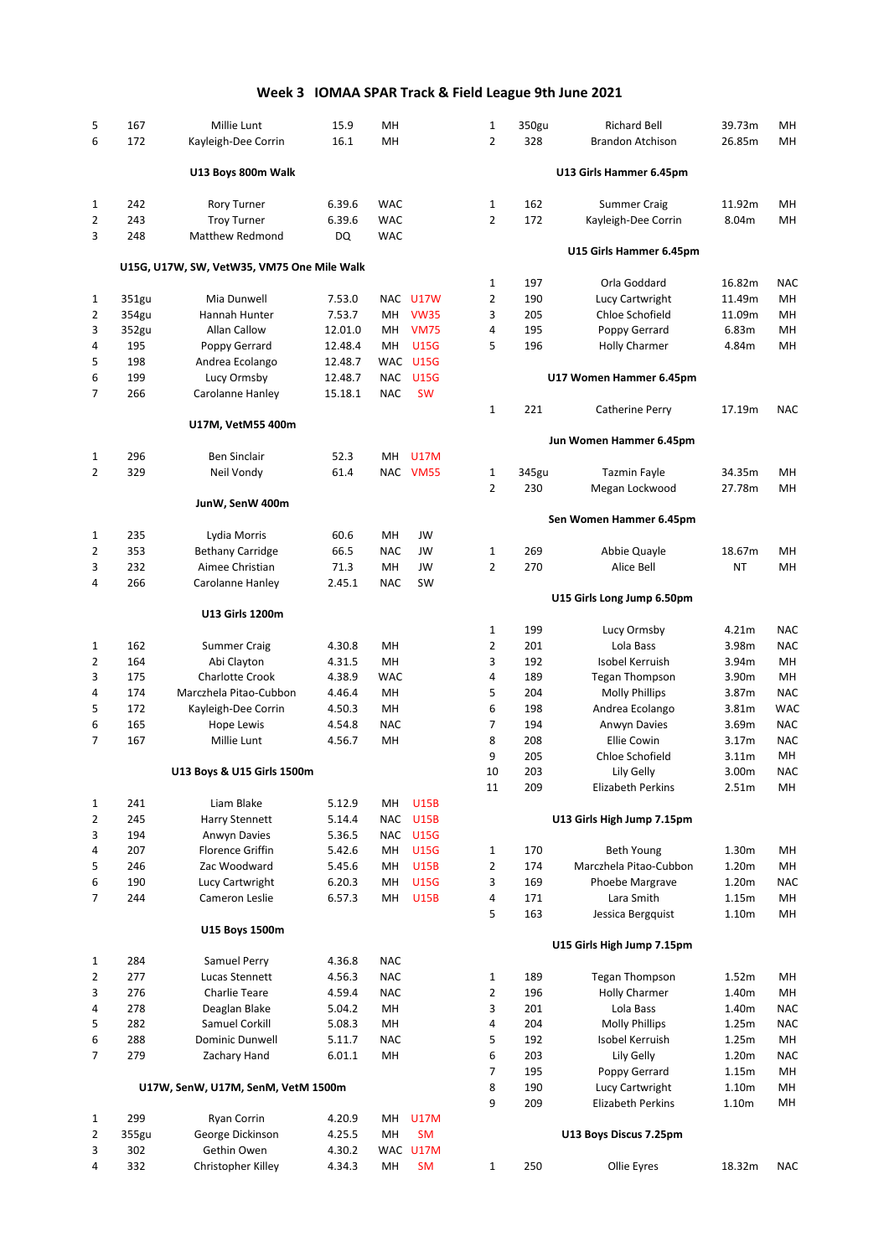# **Week 3 IOMAA SPAR Track & Field League 9th June 2021**

| 5                 | 167        | Millie Lunt                                | 15.9             | MН         |                            | $\mathbf{1}$        | 350gu      | <b>Richard Bell</b>           | 39.73m                     | MH                       |
|-------------------|------------|--------------------------------------------|------------------|------------|----------------------------|---------------------|------------|-------------------------------|----------------------------|--------------------------|
| 6                 | 172        | Kayleigh-Dee Corrin                        | 16.1             | MH         |                            | $\overline{2}$      | 328        | <b>Brandon Atchison</b>       | 26.85m                     | MH                       |
|                   |            | U13 Boys 800m Walk                         |                  |            |                            |                     |            | U13 Girls Hammer 6.45pm       |                            |                          |
|                   |            |                                            |                  |            |                            |                     |            |                               |                            |                          |
| 1                 | 242        | <b>Rory Turner</b>                         | 6.39.6           | <b>WAC</b> |                            | $\mathbf{1}$        | 162        | <b>Summer Craig</b>           | 11.92m                     | MH                       |
| 2                 | 243        | <b>Troy Turner</b>                         | 6.39.6           | <b>WAC</b> |                            | $\overline{2}$      | 172        | Kayleigh-Dee Corrin           | 8.04m                      | MH                       |
| 3                 | 248        | <b>Matthew Redmond</b>                     | DQ               | <b>WAC</b> |                            |                     |            | U15 Girls Hammer 6.45pm       |                            |                          |
|                   |            | U15G, U17W, SW, VetW35, VM75 One Mile Walk |                  |            |                            | $\mathbf{1}$        | 197        | Orla Goddard                  | 16.82m                     | <b>NAC</b>               |
| 1                 | 351gu      | Mia Dunwell                                | 7.53.0           |            | NAC U17W                   | 2                   | 190        | Lucy Cartwright               | 11.49m                     | MH                       |
| 2                 | 354gu      | Hannah Hunter                              | 7.53.7           | MН         | <b>VW35</b>                | 3                   | 205        | Chloe Schofield               | 11.09m                     | MH                       |
| 3                 | 352gu      | Allan Callow                               | 12.01.0          | MН         | <b>VM75</b>                | 4                   | 195        | Poppy Gerrard                 | 6.83m                      | MH                       |
| 4                 | 195        | Poppy Gerrard                              | 12.48.4          | MН         | <b>U15G</b>                | 5                   | 196        | <b>Holly Charmer</b>          | 4.84m                      | MH                       |
| 5                 | 198        | Andrea Ecolango                            | 12.48.7          |            | WAC U15G                   |                     |            |                               |                            |                          |
| 6                 | 199        | Lucy Ormsby                                | 12.48.7          | NAC        | <b>U15G</b>                |                     |            | U17 Women Hammer 6.45pm       |                            |                          |
| 7                 | 266        | Carolanne Hanley                           | 15.18.1          | <b>NAC</b> | <b>SW</b>                  | $\mathbf{1}$        | 221        |                               | 17.19m                     |                          |
|                   |            | U17M, VetM55 400m                          |                  |            |                            |                     |            | Catherine Perry               |                            | <b>NAC</b>               |
|                   |            |                                            |                  |            |                            |                     |            | Jun Women Hammer 6.45pm       |                            |                          |
| 1                 | 296        | <b>Ben Sinclair</b>                        | 52.3             | MН         | <b>U17M</b>                |                     |            |                               |                            |                          |
| 2                 | 329        | Neil Vondy                                 | 61.4             |            | NAC VM55                   | $\mathbf{1}$        | 345gu      | <b>Tazmin Fayle</b>           | 34.35m                     | MH                       |
|                   |            | JunW, SenW 400m                            |                  |            |                            | $\overline{2}$      | 230        | Megan Lockwood                | 27.78m                     | MH                       |
|                   |            |                                            |                  |            |                            |                     |            | Sen Women Hammer 6.45pm       |                            |                          |
| 1                 | 235        | Lydia Morris                               | 60.6             | MH         | JW                         |                     |            |                               |                            |                          |
| 2                 | 353        | <b>Bethany Carridge</b>                    | 66.5             | <b>NAC</b> | JW                         | 1                   | 269        | Abbie Quayle                  | 18.67m                     | MH                       |
| 3                 | 232        | Aimee Christian                            | 71.3             | MН         | JW                         | $\overline{2}$      | 270        | Alice Bell                    | ΝT                         | MH                       |
| 4                 | 266        | Carolanne Hanley                           | 2.45.1           | <b>NAC</b> | SW                         |                     |            | U15 Girls Long Jump 6.50pm    |                            |                          |
|                   |            | U13 Girls 1200m                            |                  |            |                            |                     |            |                               |                            |                          |
|                   | 162        |                                            | 4.30.8           | MH         |                            | 1<br>2              | 199<br>201 | Lucy Ormsby<br>Lola Bass      | 4.21m<br>3.98m             | <b>NAC</b><br><b>NAC</b> |
| $\mathbf{1}$<br>2 | 164        | <b>Summer Craig</b><br>Abi Clayton         | 4.31.5           | MH         |                            | 3                   | 192        | Isobel Kerruish               | 3.94m                      | <b>MH</b>                |
| 3                 | 175        | <b>Charlotte Crook</b>                     | 4.38.9           | <b>WAC</b> |                            | 4                   | 189        | <b>Tegan Thompson</b>         | 3.90m                      | MH                       |
| 4                 | 174        | Marczhela Pitao-Cubbon                     | 4.46.4           | MH         |                            | 5                   | 204        | <b>Molly Phillips</b>         | 3.87m                      | <b>NAC</b>               |
| 5                 | 172        | Kayleigh-Dee Corrin                        | 4.50.3           | MH         |                            | 6                   | 198        | Andrea Ecolango               | 3.81m                      | <b>WAC</b>               |
| 6                 | 165        | <b>Hope Lewis</b>                          | 4.54.8           | <b>NAC</b> |                            | 7                   | 194        | Anwyn Davies                  | 3.69m                      | <b>NAC</b>               |
| 7                 | 167        | Millie Lunt                                | 4.56.7           | MН         |                            | 8                   | 208        | <b>Ellie Cowin</b>            | 3.17m                      | <b>NAC</b>               |
|                   |            |                                            |                  |            |                            | 9                   | 205        | Chloe Schofield               | 3.11m                      | MH                       |
|                   |            | U13 Boys & U15 Girls 1500m                 |                  |            |                            | 10                  | 203        | Lily Gelly                    | 3.00m                      | NAC                      |
|                   |            |                                            |                  |            |                            | 11                  | 209        | Elizabeth Perkins             | 2.51m                      | MH                       |
| 1                 | 241        | Liam Blake                                 | 5.12.9           | MН         | <b>U15B</b>                |                     |            |                               |                            |                          |
| 2                 | 245        | Harry Stennett                             | 5.14.4           | <b>NAC</b> | <b>U15B</b>                |                     |            | U13 Girls High Jump 7.15pm    |                            |                          |
| 3                 | 194        | Anwyn Davies                               | 5.36.5           | <b>NAC</b> | <b>U15G</b>                |                     |            |                               |                            |                          |
| 4                 | 207        | <b>Florence Griffin</b>                    | 5.42.6           | MН         | <b>U15G</b>                | $\mathbf{1}$        | 170        | Beth Young                    | 1.30m                      | MH                       |
| 5                 | 246<br>190 | Zac Woodward                               | 5.45.6           | MН         | <b>U15B</b><br><b>U15G</b> | $\overline{2}$<br>3 | 174<br>169 | Marczhela Pitao-Cubbon        | 1.20m<br>1.20 <sub>m</sub> | MH<br><b>NAC</b>         |
| 6<br>7            | 244        | Lucy Cartwright<br>Cameron Leslie          | 6.20.3<br>6.57.3 | MН<br>MН   | <b>U15B</b>                | 4                   | 171        | Phoebe Margrave<br>Lara Smith | 1.15m                      | MH                       |
|                   |            |                                            |                  |            |                            | 5                   | 163        | Jessica Bergquist             | 1.10m                      | MH                       |
|                   |            | U15 Boys 1500m                             |                  |            |                            |                     |            | U15 Girls High Jump 7.15pm    |                            |                          |
| 1                 | 284        | Samuel Perry                               | 4.36.8           | <b>NAC</b> |                            |                     |            |                               |                            |                          |
| 2                 | 277        | Lucas Stennett                             | 4.56.3           | <b>NAC</b> |                            | $\mathbf{1}$        | 189        | <b>Tegan Thompson</b>         | 1.52m                      | MH                       |
| 3                 | 276        | Charlie Teare                              | 4.59.4           | <b>NAC</b> |                            | $\overline{2}$      | 196        | <b>Holly Charmer</b>          | 1.40m                      | MH                       |
| 4                 | 278        | Deaglan Blake                              | 5.04.2           | MH         |                            | 3                   | 201        | Lola Bass                     | 1.40m                      | <b>NAC</b>               |
| 5                 | 282        | Samuel Corkill                             | 5.08.3           | MH         |                            | 4                   | 204        | <b>Molly Phillips</b>         | 1.25m                      | <b>NAC</b>               |
| 6                 | 288        | Dominic Dunwell                            | 5.11.7           | <b>NAC</b> |                            | 5                   | 192        | Isobel Kerruish               | 1.25m                      | MH                       |
| 7                 | 279        | Zachary Hand                               | 6.01.1           | MH         |                            | 6                   | 203        | Lily Gelly                    | 1.20m                      | <b>NAC</b>               |
|                   |            |                                            |                  |            |                            | 7                   | 195        | Poppy Gerrard                 | 1.15m                      | MH                       |
|                   |            | U17W, SenW, U17M, SenM, VetM 1500m         |                  |            |                            | 8                   | 190        | Lucy Cartwright               | 1.10m                      | MH                       |
|                   |            |                                            |                  |            |                            | 9                   | 209        | Elizabeth Perkins             | 1.10 <sub>m</sub>          | MН                       |
| 1                 | 299        | Ryan Corrin                                | 4.20.9           | MН         | <b>U17M</b>                |                     |            |                               |                            |                          |
| $\overline{2}$    | 355gu      | George Dickinson                           | 4.25.5           | MН         | <b>SM</b>                  |                     |            | U13 Boys Discus 7.25pm        |                            |                          |
| 3                 | 302        | Gethin Owen                                | 4.30.2           |            | WAC U17M                   |                     | 250        | Ollie Eyres                   |                            | <b>NAC</b>               |
| 4                 | 332        | Christopher Killey                         | 4.34.3           | MН         | <b>SM</b>                  | 1                   |            |                               | 18.32m                     |                          |

| 1      | 350gu      | Richard Bell                                   | 39.73m                     | MН               |
|--------|------------|------------------------------------------------|----------------------------|------------------|
| 2      | 328        | <b>Brandon Atchison</b>                        | 26.85m                     | MH               |
|        |            | U13 Girls Hammer 6.45pm                        |                            |                  |
| 1      | 162        | <b>Summer Craig</b>                            | 11.92m                     | MН               |
| 2      | 172        | Kayleigh-Dee Corrin                            | 8.04m                      | MН               |
|        |            | U15 Girls Hammer 6.45pm                        |                            |                  |
| 1      | 197        | Orla Goddard                                   | 16.82m                     | <b>NAC</b>       |
| 2      | 190        | Lucy Cartwright                                | 11.49m                     | MH               |
| 3      | 205        | Chloe Schofield                                | 11.09m                     | MH               |
| 4      | 195        | Poppy Gerrard                                  | 6.83m                      | MH               |
| 5      | 196        | <b>Holly Charmer</b>                           | 4.84m                      | MН               |
|        |            | U17 Women Hammer 6.45pm                        |                            |                  |
| 1      | 221        | Catherine Perry                                | 17.19m                     | <b>NAC</b>       |
|        |            | Jun Women Hammer 6.45pm                        |                            |                  |
| 1      | 345gu      | <b>Tazmin Fayle</b>                            | 34.35m                     | MН               |
| 2      | 230        | Megan Lockwood                                 | 27.78m                     | MН               |
|        |            | Sen Women Hammer 6.45pm                        |                            |                  |
| 1      | 269        | Abbie Quayle                                   | 18.67m                     | MН               |
| 2      | 270        | Alice Bell                                     | NT                         | MН               |
|        |            | U15 Girls Long Jump 6.50pm                     |                            |                  |
| 1      | 199        | Lucy Ormsby                                    | 4.21m                      | <b>NAC</b>       |
| 2      | 201        | Lola Bass                                      | 3.98m                      | <b>NAC</b>       |
| 3<br>4 | 192        | Isobel Kerruish                                | 3.94m                      | MН<br>MH         |
| 5      | 189<br>204 | <b>Tegan Thompson</b><br><b>Molly Phillips</b> | 3.90m<br>3.87m             | <b>NAC</b>       |
| 6      | 198        | Andrea Ecolango                                | 3.81m                      | <b>WAC</b>       |
| 7      | 194        | Anwyn Davies                                   | 3.69m                      | <b>NAC</b>       |
| 8      | 208        | <b>Ellie Cowin</b>                             | 3.17m                      | <b>NAC</b>       |
| 9      | 205        | Chloe Schofield                                | 3.11m                      | MН               |
| 10     | 203        | Lily Gelly                                     | 3.00m                      | <b>NAC</b>       |
| 11     | 209        | <b>Elizabeth Perkins</b>                       | 2.51m                      | MН               |
|        |            | U13 Girls High Jump 7.15pm                     |                            |                  |
| 1      | 170        | <b>Beth Young</b>                              | 1.30m                      | MН               |
| 2      | 174        | Marczhela Pitao-Cubbon                         | 1.20m                      | MН               |
| 3      | 169        | Phoebe Margrave                                | 1.20m                      | NAC              |
| 4      | 171        | Lara Smith                                     | 1.15m                      | MH               |
| 5      | 163        | Jessica Bergquist                              | 1.10m                      | MН               |
|        |            | U15 Girls High Jump 7.15pm                     |                            |                  |
| 1      | 189        | <b>Tegan Thompson</b>                          | 1.52m                      | MН               |
| 2      | 196        | <b>Holly Charmer</b>                           | 1.40m                      | MН               |
| 3      | 201        | Lola Bass                                      | 1.40m                      | NAC              |
| 4      | 204        | <b>Molly Phillips</b>                          | 1.25m                      | <b>NAC</b>       |
| 5<br>6 | 192<br>203 | Isobel Kerruish<br>Lily Gelly                  | 1.25m<br>1.20 <sub>m</sub> | MH<br><b>NAC</b> |
| 7      | 195        | Poppy Gerrard                                  | 1.15m                      | MH               |
| 8      | 190        | Lucy Cartwright                                | 1.10 <sub>m</sub>          | MН               |
| 9      | 209        | <b>Elizabeth Perkins</b>                       | 1.10 <sub>m</sub>          | MН               |
|        |            | U13 Boys Discus 7.25pm                         |                            |                  |
| 1      | 250        | Ollie Eyres                                    | 18.32m                     | <b>NAC</b>       |